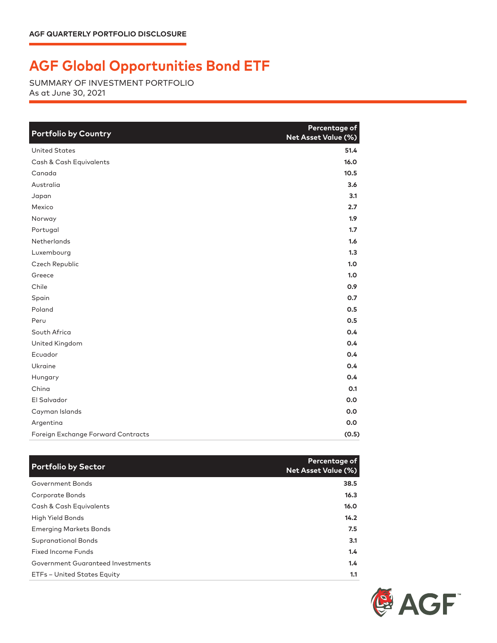## **AGF Global Opportunities Bond ETF**

SUMMARY OF INVESTMENT PORTFOLIO As at June 30, 2021

| <b>Portfolio by Country</b>        | Percentage of<br><b>Net Asset Value (%)</b> |
|------------------------------------|---------------------------------------------|
| <b>United States</b>               | 51.4                                        |
| Cash & Cash Equivalents            | 16.0                                        |
| Canada                             | 10.5                                        |
| Australia                          | 3.6                                         |
| Japan                              | 3.1                                         |
| Mexico                             | 2.7                                         |
| Norway                             | 1.9 <sup>2</sup>                            |
| Portugal                           | 1.7                                         |
| Netherlands                        | 1.6                                         |
| Luxembourg                         | 1.3                                         |
| Czech Republic                     | 1.0                                         |
| Greece                             | 1.0                                         |
| Chile                              | 0.9                                         |
| Spain                              | 0.7                                         |
| Poland                             | 0.5                                         |
| Peru                               | 0.5                                         |
| South Africa                       | 0.4                                         |
| United Kingdom                     | 0.4                                         |
| Ecuador                            | 0.4                                         |
| Ukraine                            | 0.4                                         |
| Hungary                            | 0.4                                         |
| China                              | O.1                                         |
| El Salvador                        | 0.0                                         |
| Cayman Islands                     | 0.0                                         |
| Argentina                          | 0.0                                         |
| Foreign Exchange Forward Contracts | (0.5)                                       |

| <b>Portfolio by Sector</b>        | Percentage of<br><b>Net Asset Value (%)</b> |
|-----------------------------------|---------------------------------------------|
| Government Bonds                  | 38.5                                        |
| Corporate Bonds                   | 16.3                                        |
| Cash & Cash Equivalents           | 16.0                                        |
| High Yield Bonds                  | 14.2                                        |
| <b>Emerging Markets Bonds</b>     | 7.5                                         |
| <b>Supranational Bonds</b>        | 3.1                                         |
| Fixed Income Funds                | 1.4                                         |
| Government Guaranteed Investments | 1.4                                         |
| ETFs - United States Equity       | 1.1                                         |

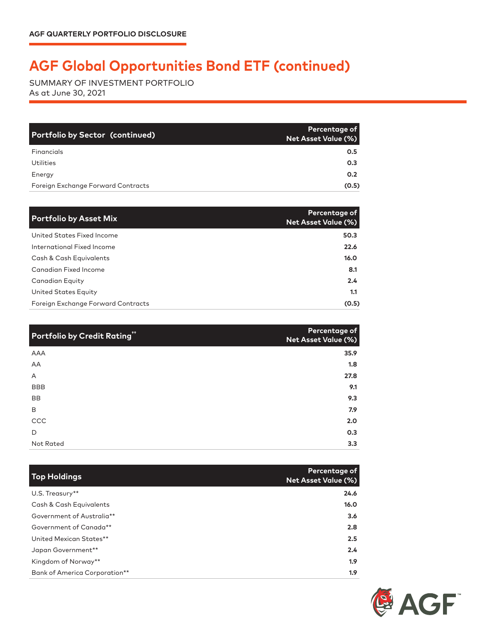## **AGF Global Opportunities Bond ETF (continued)**

SUMMARY OF INVESTMENT PORTFOLIO As at June 30, 2021

| <b>Portfolio by Sector (continued)</b> | Percentage of<br><b>Net Asset Value (%)</b> |
|----------------------------------------|---------------------------------------------|
| Financials                             | 0.5                                         |
| Utilities                              | 0.3                                         |
| Energy                                 | 0.2 <sub>0</sub>                            |
| Foreign Exchange Forward Contracts     | (0.5)                                       |

| <b>Portfolio by Asset Mix</b>      | Percentage of<br>Net Asset Value (%) |
|------------------------------------|--------------------------------------|
| United States Fixed Income         | 50.3                                 |
| International Fixed Income         | 22.6                                 |
| Cash & Cash Equivalents            | 16.0                                 |
| Canadian Fixed Income              | 8.1                                  |
| Canadian Equity                    | 2.4                                  |
| United States Equity               | 1.1                                  |
| Foreign Exchange Forward Contracts | (0.5)                                |

| <b>Portfolio by Credit Rating"</b> | Percentage of<br><b>Net Asset Value (%)</b> |
|------------------------------------|---------------------------------------------|
| AAA                                | 35.9                                        |
| AA                                 | 1.8                                         |
| A                                  | 27.8                                        |
| <b>BBB</b>                         | 9.1                                         |
| <b>BB</b>                          | 9.3                                         |
| B                                  | 7.9                                         |
| CCC                                | 2.0                                         |
| D                                  | 0.3                                         |
| Not Rated                          | 3.3                                         |

| <b>Top Holdings</b>           | Percentage of<br><b>Net Asset Value (%)</b> |
|-------------------------------|---------------------------------------------|
| U.S. Treasury**               | 24.6                                        |
| Cash & Cash Equivalents       | 16.0                                        |
| Government of Australia**     | 3.6                                         |
| Government of Canada**        | 2.8                                         |
| United Mexican States**       | 2.5                                         |
| Japan Government**            | 2.4                                         |
| Kingdom of Norway**           | 1.9                                         |
| Bank of America Corporation** | 1.9                                         |